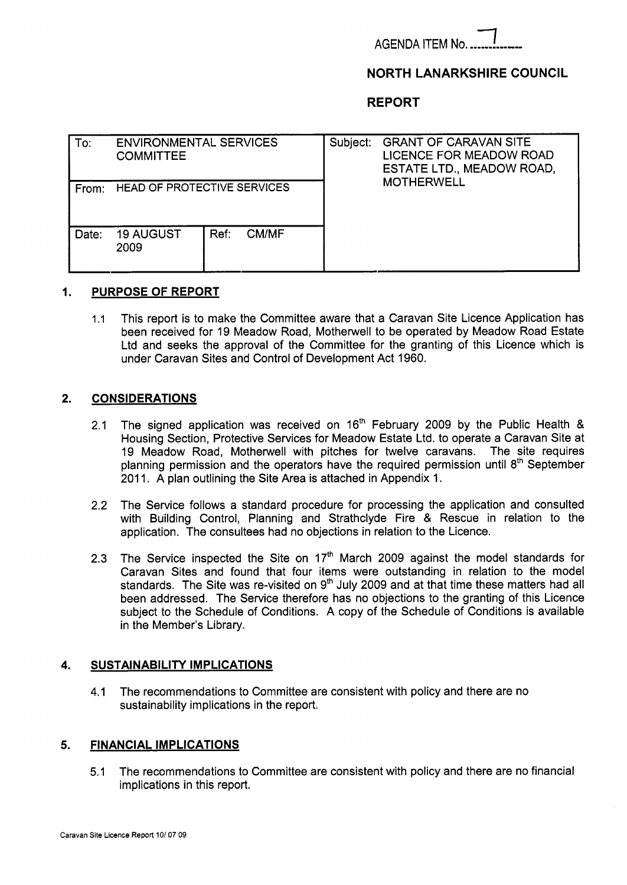**AGENDA ITEM No.** 

# **NORTH LANARKSHIRE COUNCIL**

**REPORT** 

| To:   | <b>ENVIRONMENTAL SERVICES</b><br><b>COMMITTEE</b> |      |              | Subject: | <b>GRANT OF CARAVAN SITE</b><br><b>LICENCE FOR MEADOW ROAD</b><br>ESTATE LTD., MEADOW ROAD,<br><b>MOTHERWELL</b> |
|-------|---------------------------------------------------|------|--------------|----------|------------------------------------------------------------------------------------------------------------------|
| From: | HEAD OF PROTECTIVE SERVICES                       |      |              |          |                                                                                                                  |
| Date: | <b>19 AUGUST</b><br>2009                          | Ref: | <b>CM/MF</b> |          |                                                                                                                  |

# **I. PURPOSE OF REPORT**

1.1 This report is to make the Committee aware that a Caravan Site Licence Application has been received for 19 Meadow Road, Motherwell to be operated by Meadow Road Estate Ltd and seeks the approval of the Committee for the granting of this Licence which is under Caravan Sites and Control of Development Act 1960.

## **2. CONSIDERATIONS**

- 2.1 The signed application was received on  $16<sup>th</sup>$  February 2009 by the Public Health & Housing Section, Protective Services for Meadow Estate Ltd. to operate a Caravan Site at 19 Meadow Road, Motherwell with pitches for twelve caravans. The site requires planning permission and the operators have the required permission until 8<sup>th</sup> September 2011. A plan outlining the Site Area is attached in Appendix 1.
- 2.2 The Service follows a standard procedure for processing the application and consulted with Building Control, Planning and Strathclyde Fire & Rescue in relation to the application. The consultees had no objections in relation to the Licence.
- 2.3 The Service inspected the Site on 17<sup>th</sup> March 2009 against the model standards for Caravan Sites and found that four items were outstanding in relation to the model standards. The Site was re-visited on  $9<sup>th</sup>$  July 2009 and at that time these matters had all been addressed. The Service therefore has no objections to the granting of this Licence subject to the Schedule of Conditions. A copy of the Schedule of Conditions is available in the Member's Library.

### **4. SUSTAINABILITY IMPLICATIONS**

**4.1** The recommendations to Committee are consistent with policy and there are no sustainability implications in the report.

### **5. FINANCIAL IMPLICATIONS**

5.1 The recommendations to Committee are consistent with policy and there are no financial implications in this report.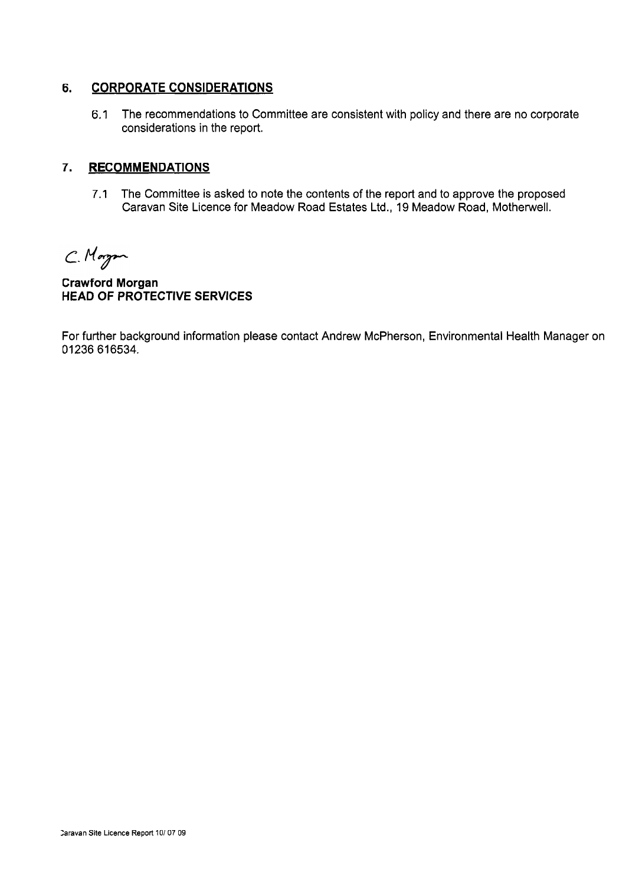#### **6. CORPORATE CONSIDERATIONS**

6.1 The recommendations to Committee are consistent with policy and there are no corporate considerations in the report.

#### **7. RECOMMENDATIONS**

7.1 The Committee is asked to note the contents of the report and to approve the proposed Caravan Site Licence for Meadow Road Estates Ltd., 19 Meadow Road, Motherwell.

C. Morgan

**Crawford Morgan HEAD OF PROTECTIVE SERVICES** 

For further background information please contact Andrew McPherson, Environmental Health Manager on 01236 616534.